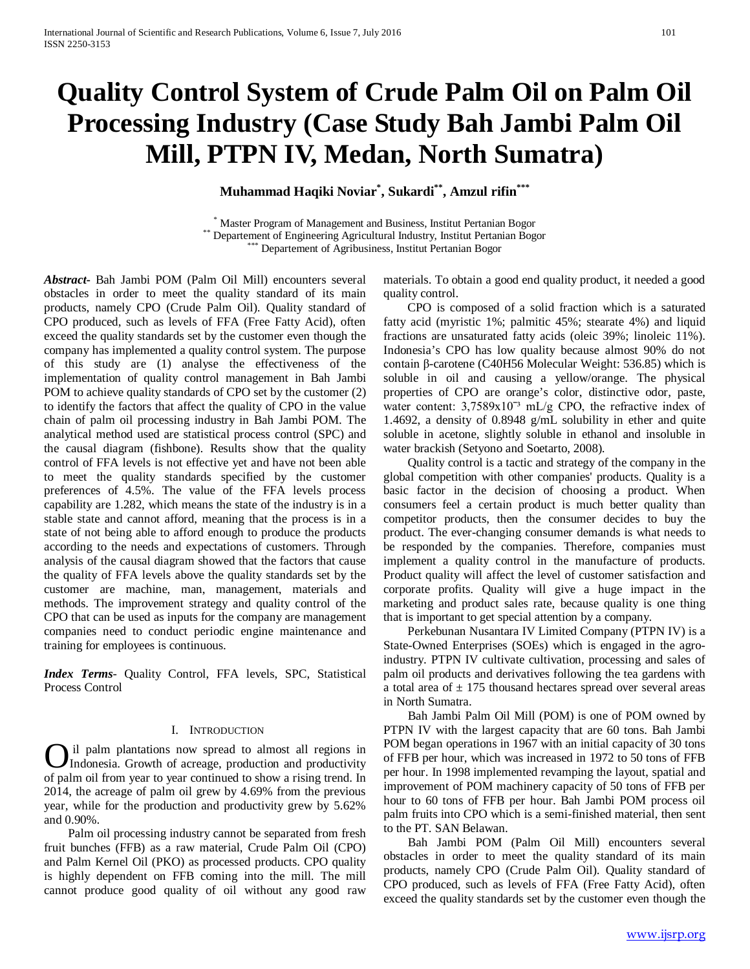# **Quality Control System of Crude Palm Oil on Palm Oil Processing Industry (Case Study Bah Jambi Palm Oil Mill, PTPN IV, Medan, North Sumatra)**

**Muhammad Haqiki Noviar\* , Sukardi\*\*, Amzul rifin\*\*\***

\* Master Program of Management and Business, Institut Pertanian Bogor Departement of Engineering Agricultural Industry, Institut Pertanian Bogor \*\*\* Departement of Agribusiness, Institut Pertanian Bogor

*Abstract***-** Bah Jambi POM (Palm Oil Mill) encounters several obstacles in order to meet the quality standard of its main products, namely CPO (Crude Palm Oil). Quality standard of CPO produced, such as levels of FFA (Free Fatty Acid), often exceed the quality standards set by the customer even though the company has implemented a quality control system. The purpose of this study are (1) analyse the effectiveness of the implementation of quality control management in Bah Jambi POM to achieve quality standards of CPO set by the customer (2) to identify the factors that affect the quality of CPO in the value chain of palm oil processing industry in Bah Jambi POM. The analytical method used are statistical process control (SPC) and the causal diagram (fishbone). Results show that the quality control of FFA levels is not effective yet and have not been able to meet the quality standards specified by the customer preferences of 4.5%. The value of the FFA levels process capability are 1.282, which means the state of the industry is in a stable state and cannot afford, meaning that the process is in a state of not being able to afford enough to produce the products according to the needs and expectations of customers. Through analysis of the causal diagram showed that the factors that cause the quality of FFA levels above the quality standards set by the customer are machine, man, management, materials and methods. The improvement strategy and quality control of the CPO that can be used as inputs for the company are management companies need to conduct periodic engine maintenance and training for employees is continuous.

*Index Terms*- Quality Control, FFA levels, SPC, Statistical Process Control

## I. INTRODUCTION

il palm plantations now spread to almost all regions in Indonesia. Growth of acreage, production and productivity **O** il palm plantations now spread to almost all regions in Indonesia. Growth of acreage, production and productivity of palm oil from year to year continued to show a rising trend. In 2014, the acreage of palm oil grew by 4.69% from the previous year, while for the production and productivity grew by 5.62% and 0.90%.

 Palm oil processing industry cannot be separated from fresh fruit bunches (FFB) as a raw material, Crude Palm Oil (CPO) and Palm Kernel Oil (PKO) as processed products. CPO quality is highly dependent on FFB coming into the mill. The mill cannot produce good quality of oil without any good raw materials. To obtain a good end quality product, it needed a good quality control.

 CPO is composed of a solid fraction which is a saturated fatty acid (myristic 1%; palmitic 45%; stearate 4%) and liquid fractions are unsaturated fatty acids (oleic 39%; linoleic 11%). Indonesia's CPO has low quality because almost 90% do not contain β-carotene (C40H56 Molecular Weight: 536.85) which is soluble in oil and causing a yellow/orange. The physical properties of CPO are orange's color, distinctive odor, paste, water content:  $3,7589x10^{-3}$  mL/g CPO, the refractive index of 1.4692, a density of 0.8948 g/mL solubility in ether and quite soluble in acetone, slightly soluble in ethanol and insoluble in water brackish (Setyono and Soetarto, 2008).

 Quality control is a tactic and strategy of the company in the global competition with other companies' products. Quality is a basic factor in the decision of choosing a product. When consumers feel a certain product is much better quality than competitor products, then the consumer decides to buy the product. The ever-changing consumer demands is what needs to be responded by the companies. Therefore, companies must implement a quality control in the manufacture of products. Product quality will affect the level of customer satisfaction and corporate profits. Quality will give a huge impact in the marketing and product sales rate, because quality is one thing that is important to get special attention by a company.

 Perkebunan Nusantara IV Limited Company (PTPN IV) is a State-Owned Enterprises (SOEs) which is engaged in the agroindustry. PTPN IV cultivate cultivation, processing and sales of palm oil products and derivatives following the tea gardens with a total area of  $\pm$  175 thousand hectares spread over several areas in North Sumatra.

 Bah Jambi Palm Oil Mill (POM) is one of POM owned by PTPN IV with the largest capacity that are 60 tons. Bah Jambi POM began operations in 1967 with an initial capacity of 30 tons of FFB per hour, which was increased in 1972 to 50 tons of FFB per hour. In 1998 implemented revamping the layout, spatial and improvement of POM machinery capacity of 50 tons of FFB per hour to 60 tons of FFB per hour. Bah Jambi POM process oil palm fruits into CPO which is a semi-finished material, then sent to the PT. SAN Belawan.

 Bah Jambi POM (Palm Oil Mill) encounters several obstacles in order to meet the quality standard of its main products, namely CPO (Crude Palm Oil). Quality standard of CPO produced, such as levels of FFA (Free Fatty Acid), often exceed the quality standards set by the customer even though the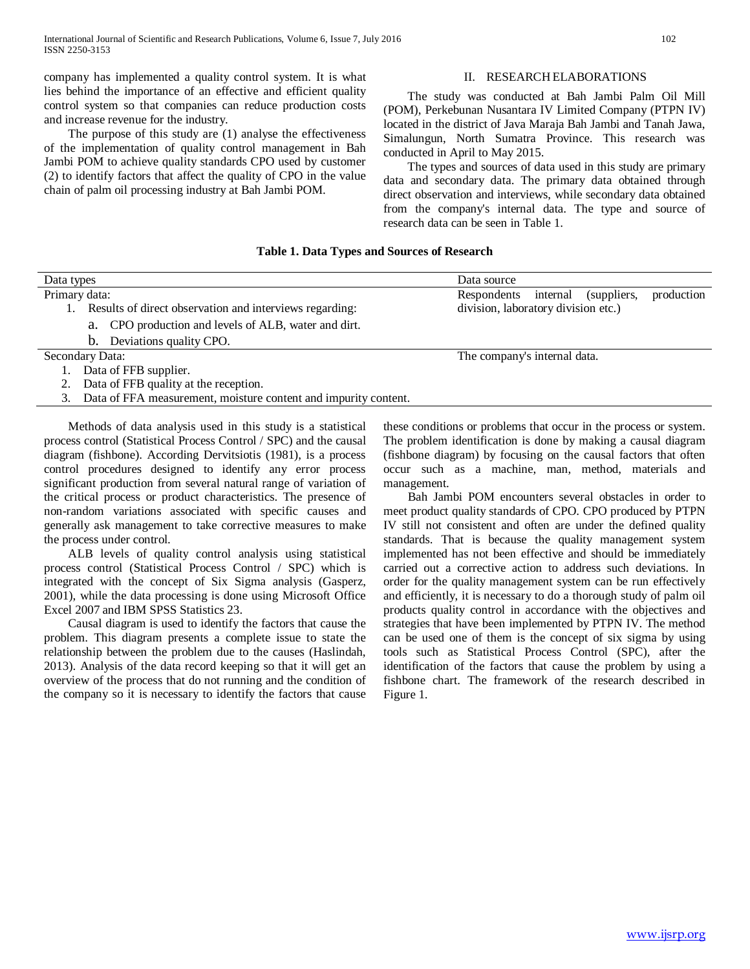company has implemented a quality control system. It is what lies behind the importance of an effective and efficient quality control system so that companies can reduce production costs and increase revenue for the industry.

 The purpose of this study are (1) analyse the effectiveness of the implementation of quality control management in Bah Jambi POM to achieve quality standards CPO used by customer (2) to identify factors that affect the quality of CPO in the value chain of palm oil processing industry at Bah Jambi POM.

# II. RESEARCH ELABORATIONS

 The study was conducted at Bah Jambi Palm Oil Mill (POM), Perkebunan Nusantara IV Limited Company (PTPN IV) located in the district of Java Maraja Bah Jambi and Tanah Jawa, Simalungun, North Sumatra Province. This research was conducted in April to May 2015.

 The types and sources of data used in this study are primary data and secondary data. The primary data obtained through direct observation and interviews, while secondary data obtained from the company's internal data. The type and source of research data can be seen in Table 1.

# **Table 1. Data Types and Sources of Research**

| Data types                                                                                | Data source                                          |
|-------------------------------------------------------------------------------------------|------------------------------------------------------|
| Primary data:                                                                             | internal<br>(suppliers,<br>production<br>Respondents |
| Results of direct observation and interviews regarding:                                   | division, laboratory division etc.)                  |
| CPO production and levels of ALB, water and dirt.<br>a.                                   |                                                      |
| Deviations quality CPO.<br>b.                                                             |                                                      |
| Secondary Data:                                                                           | The company's internal data.                         |
| Data of FFB supplier.                                                                     |                                                      |
| Data of FFB quality at the reception.                                                     |                                                      |
| $\Omega$ . Decomposition is a set of the set of the set of the set of the set of $\Omega$ |                                                      |

Data of FFA measurement, moisture content and impurity content.

 Methods of data analysis used in this study is a statistical process control (Statistical Process Control / SPC) and the causal diagram (fishbone). According Dervitsiotis (1981), is a process control procedures designed to identify any error process significant production from several natural range of variation of the critical process or product characteristics. The presence of non-random variations associated with specific causes and generally ask management to take corrective measures to make the process under control.

 ALB levels of quality control analysis using statistical process control (Statistical Process Control / SPC) which is integrated with the concept of Six Sigma analysis (Gasperz, 2001), while the data processing is done using Microsoft Office Excel 2007 and IBM SPSS Statistics 23.

 Causal diagram is used to identify the factors that cause the problem. This diagram presents a complete issue to state the relationship between the problem due to the causes (Haslindah, 2013). Analysis of the data record keeping so that it will get an overview of the process that do not running and the condition of the company so it is necessary to identify the factors that cause

these conditions or problems that occur in the process or system. The problem identification is done by making a causal diagram (fishbone diagram) by focusing on the causal factors that often occur such as a machine, man, method, materials and management.

 Bah Jambi POM encounters several obstacles in order to meet product quality standards of CPO. CPO produced by PTPN IV still not consistent and often are under the defined quality standards. That is because the quality management system implemented has not been effective and should be immediately carried out a corrective action to address such deviations. In order for the quality management system can be run effectively and efficiently, it is necessary to do a thorough study of palm oil products quality control in accordance with the objectives and strategies that have been implemented by PTPN IV. The method can be used one of them is the concept of six sigma by using tools such as Statistical Process Control (SPC), after the identification of the factors that cause the problem by using a fishbone chart. The framework of the research described in Figure 1.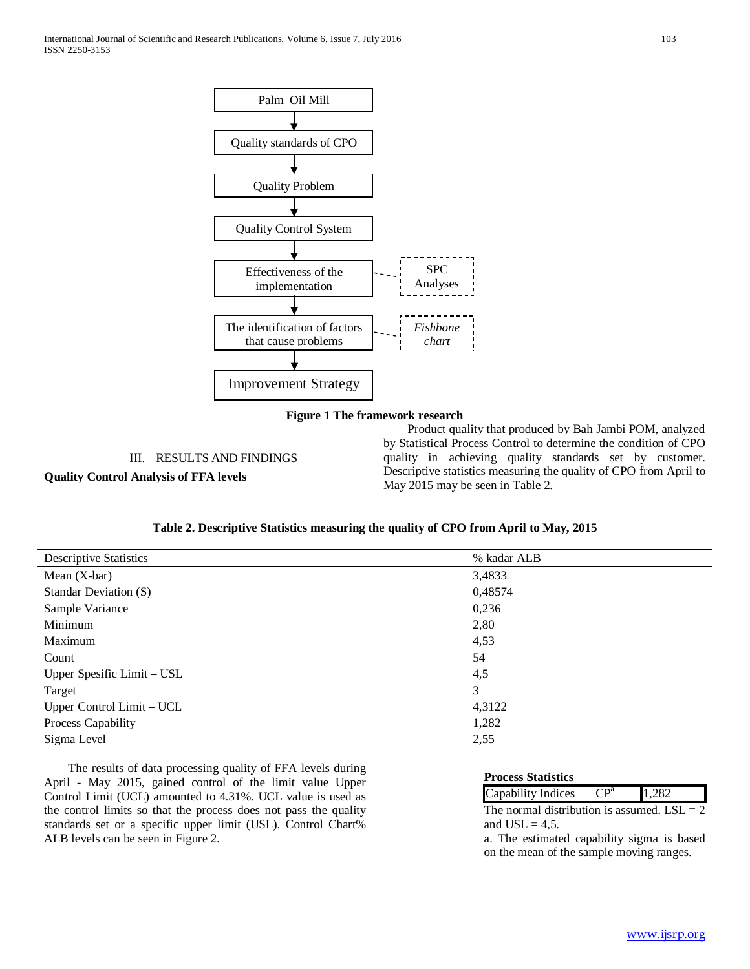

## **Figure 1 The framework research**

# III. RESULTS AND FINDINGS

**Quality Control Analysis of FFA levels**

 Product quality that produced by Bah Jambi POM, analyzed by Statistical Process Control to determine the condition of CPO quality in achieving quality standards set by customer. Descriptive statistics measuring the quality of CPO from April to May 2015 may be seen in Table 2.

| Table 2. Descriptive Statistics measuring the quality of CPO from April to May, 2015 |  |  |
|--------------------------------------------------------------------------------------|--|--|
|                                                                                      |  |  |

| <b>Descriptive Statistics</b> | % kadar ALB |
|-------------------------------|-------------|
| Mean $(X-bar)$                | 3,4833      |
| Standar Deviation (S)         | 0,48574     |
| Sample Variance               | 0,236       |
| Minimum                       | 2,80        |
| Maximum                       | 4,53        |
| Count                         | 54          |
| Upper Spesific Limit – USL    | 4,5         |
| Target                        | 3           |
| Upper Control Limit – UCL     | 4,3122      |
| Process Capability            | 1,282       |
| Sigma Level                   | 2,55        |

 The results of data processing quality of FFA levels during April - May 2015, gained control of the limit value Upper Control Limit (UCL) amounted to 4.31%. UCL value is used as the control limits so that the process does not pass the quality standards set or a specific upper limit (USL). Control Chart% ALB levels can be seen in Figure 2.

# **Process Statistics**

Capability Indices  $\mathbb{CP}^a$  1,282 The normal distribution is assumed.  $LSL = 2$ and  $USL = 4.5$ .

a. The estimated capability sigma is based on the mean of the sample moving ranges.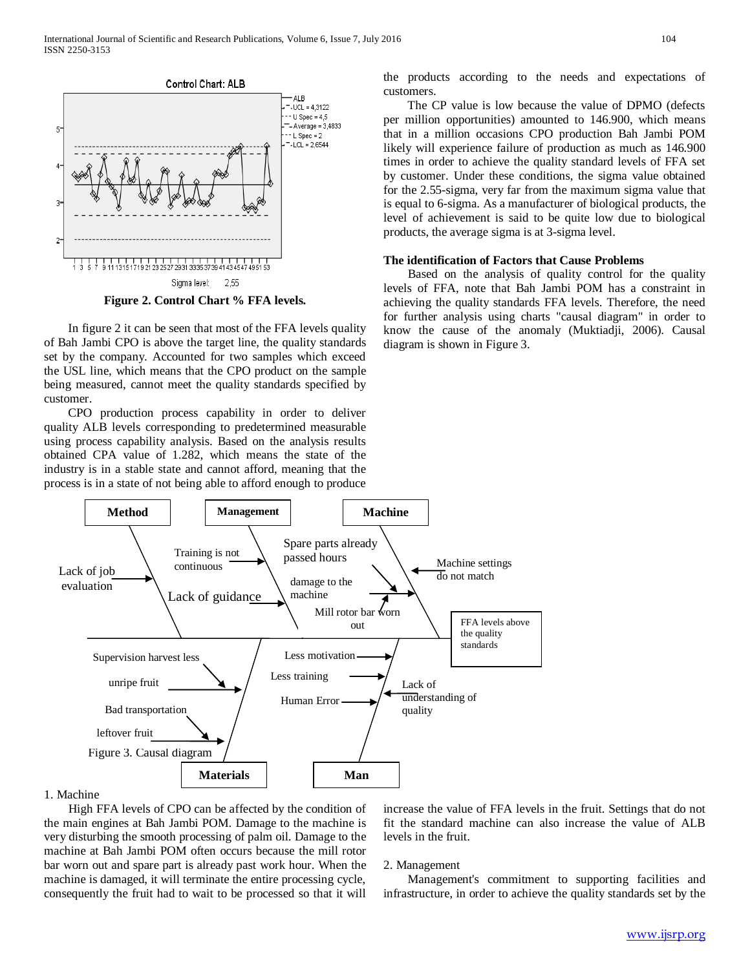

**Figure 2. Control Chart % FFA levels.**

 In figure 2 it can be seen that most of the FFA levels quality of Bah Jambi CPO is above the target line, the quality standards set by the company. Accounted for two samples which exceed the USL line, which means that the CPO product on the sample being measured, cannot meet the quality standards specified by customer.

 CPO production process capability in order to deliver quality ALB levels corresponding to predetermined measurable using process capability analysis. Based on the analysis results obtained CPA value of 1.282, which means the state of the industry is in a stable state and cannot afford, meaning that the process is in a state of not being able to afford enough to produce the products according to the needs and expectations of customers.

 The CP value is low because the value of DPMO (defects per million opportunities) amounted to 146.900, which means that in a million occasions CPO production Bah Jambi POM likely will experience failure of production as much as 146.900 times in order to achieve the quality standard levels of FFA set by customer. Under these conditions, the sigma value obtained for the 2.55-sigma, very far from the maximum sigma value that is equal to 6-sigma. As a manufacturer of biological products, the level of achievement is said to be quite low due to biological products, the average sigma is at 3-sigma level.

## **The identification of Factors that Cause Problems**

 Based on the analysis of quality control for the quality levels of FFA, note that Bah Jambi POM has a constraint in achieving the quality standards FFA levels. Therefore, the need for further analysis using charts "causal diagram" in order to know the cause of the anomaly (Muktiadji, 2006). Causal diagram is shown in Figure 3.



# 1. Machine

 High FFA levels of CPO can be affected by the condition of the main engines at Bah Jambi POM. Damage to the machine is very disturbing the smooth processing of palm oil. Damage to the machine at Bah Jambi POM often occurs because the mill rotor bar worn out and spare part is already past work hour. When the machine is damaged, it will terminate the entire processing cycle, consequently the fruit had to wait to be processed so that it will

increase the value of FFA levels in the fruit. Settings that do not fit the standard machine can also increase the value of ALB levels in the fruit.

#### 2. Management

 Management's commitment to supporting facilities and infrastructure, in order to achieve the quality standards set by the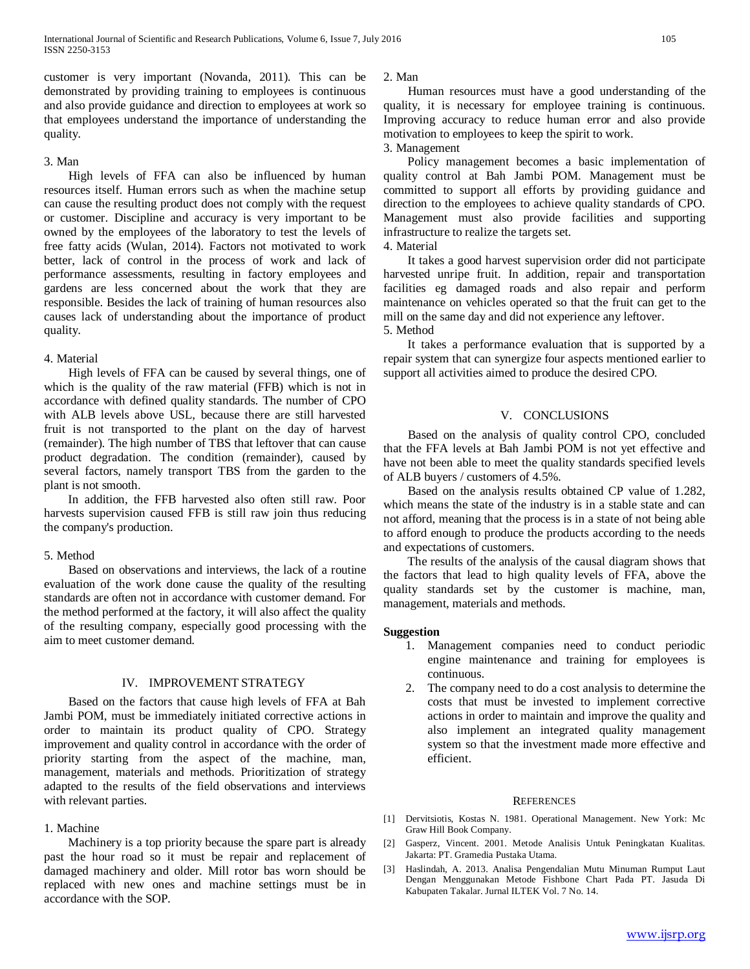customer is very important (Novanda, 2011). This can be demonstrated by providing training to employees is continuous and also provide guidance and direction to employees at work so that employees understand the importance of understanding the quality.

# 3. Man

 High levels of FFA can also be influenced by human resources itself. Human errors such as when the machine setup can cause the resulting product does not comply with the request or customer. Discipline and accuracy is very important to be owned by the employees of the laboratory to test the levels of free fatty acids (Wulan, 2014). Factors not motivated to work better, lack of control in the process of work and lack of performance assessments, resulting in factory employees and gardens are less concerned about the work that they are responsible. Besides the lack of training of human resources also causes lack of understanding about the importance of product quality.

## 4. Material

 High levels of FFA can be caused by several things, one of which is the quality of the raw material (FFB) which is not in accordance with defined quality standards. The number of CPO with ALB levels above USL, because there are still harvested fruit is not transported to the plant on the day of harvest (remainder). The high number of TBS that leftover that can cause product degradation. The condition (remainder), caused by several factors, namely transport TBS from the garden to the plant is not smooth.

 In addition, the FFB harvested also often still raw. Poor harvests supervision caused FFB is still raw join thus reducing the company's production.

### 5. Method

 Based on observations and interviews, the lack of a routine evaluation of the work done cause the quality of the resulting standards are often not in accordance with customer demand. For the method performed at the factory, it will also affect the quality of the resulting company, especially good processing with the aim to meet customer demand.

## IV. IMPROVEMENT STRATEGY

 Based on the factors that cause high levels of FFA at Bah Jambi POM, must be immediately initiated corrective actions in order to maintain its product quality of CPO. Strategy improvement and quality control in accordance with the order of priority starting from the aspect of the machine, man, management, materials and methods. Prioritization of strategy adapted to the results of the field observations and interviews with relevant parties.

# 1. Machine

 Machinery is a top priority because the spare part is already past the hour road so it must be repair and replacement of damaged machinery and older. Mill rotor bas worn should be replaced with new ones and machine settings must be in accordance with the SOP.

## 2. Man

 Human resources must have a good understanding of the quality, it is necessary for employee training is continuous. Improving accuracy to reduce human error and also provide motivation to employees to keep the spirit to work.

3. Management

 Policy management becomes a basic implementation of quality control at Bah Jambi POM. Management must be committed to support all efforts by providing guidance and direction to the employees to achieve quality standards of CPO. Management must also provide facilities and supporting infrastructure to realize the targets set.

4. Material

 It takes a good harvest supervision order did not participate harvested unripe fruit. In addition, repair and transportation facilities eg damaged roads and also repair and perform maintenance on vehicles operated so that the fruit can get to the mill on the same day and did not experience any leftover. 5. Method

 It takes a performance evaluation that is supported by a repair system that can synergize four aspects mentioned earlier to support all activities aimed to produce the desired CPO.

## V. CONCLUSIONS

 Based on the analysis of quality control CPO, concluded that the FFA levels at Bah Jambi POM is not yet effective and have not been able to meet the quality standards specified levels of ALB buyers / customers of 4.5%.

 Based on the analysis results obtained CP value of 1.282, which means the state of the industry is in a stable state and can not afford, meaning that the process is in a state of not being able to afford enough to produce the products according to the needs and expectations of customers.

 The results of the analysis of the causal diagram shows that the factors that lead to high quality levels of FFA, above the quality standards set by the customer is machine, man, management, materials and methods.

## **Suggestion**

- 1. Management companies need to conduct periodic engine maintenance and training for employees is continuous.
- 2. The company need to do a cost analysis to determine the costs that must be invested to implement corrective actions in order to maintain and improve the quality and also implement an integrated quality management system so that the investment made more effective and efficient.

#### **REFERENCES**

- [1] Dervitsiotis, Kostas N. 1981. Operational Management. New York: Mc Graw Hill Book Company.
- [2] Gasperz, Vincent. 2001. Metode Analisis Untuk Peningkatan Kualitas. Jakarta: PT. Gramedia Pustaka Utama.
- [3] Haslindah, A. 2013. Analisa Pengendalian Mutu Minuman Rumput Laut Dengan Menggunakan Metode Fishbone Chart Pada PT. Jasuda Di Kabupaten Takalar. Jurnal ILTEK Vol. 7 No. 14.